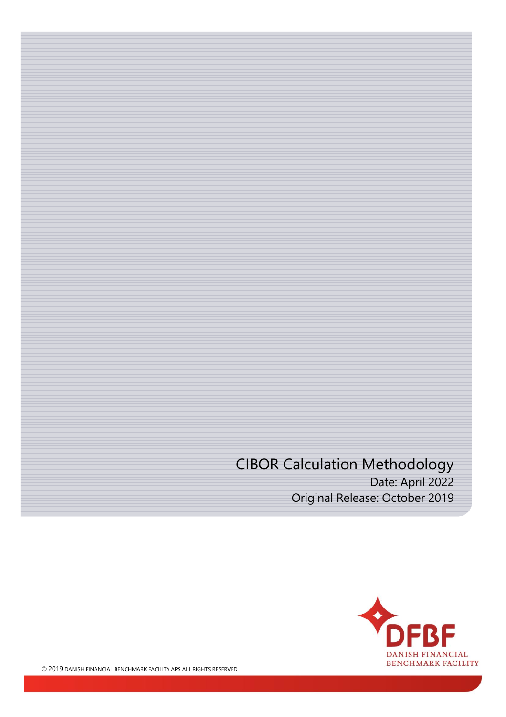CIBOR Calculation Methodology Date: April 2022 Original Release: October 2019

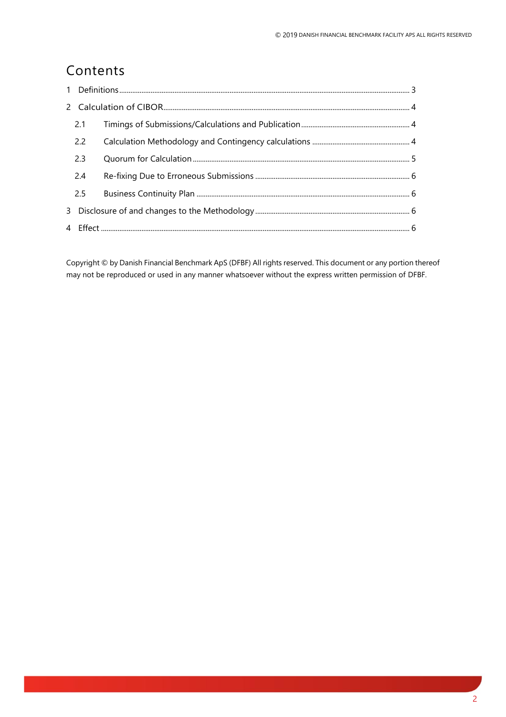# Contents

| 2.1 |  |
|-----|--|
| 2.2 |  |
| 2.3 |  |
| 2.4 |  |
| 2.5 |  |
|     |  |
|     |  |
|     |  |

Copyright © by Danish Financial Benchmark ApS (DFBF) All rights reserved. This document or any portion thereof may not be reproduced or used in any manner whatsoever without the express written permission of DFBF.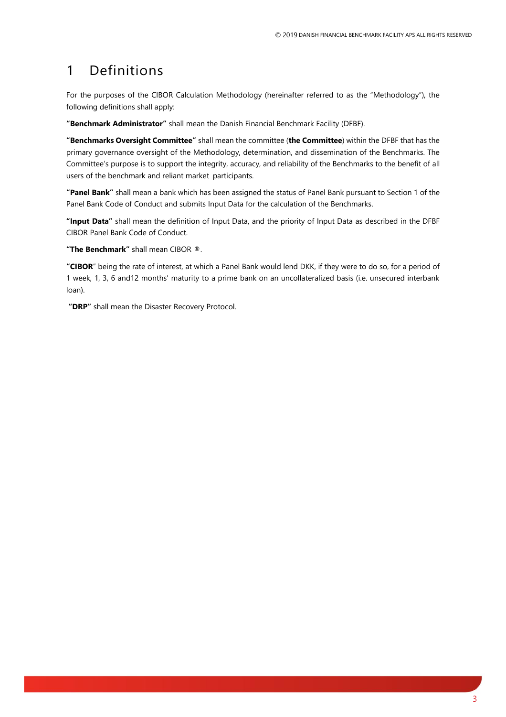# <span id="page-2-0"></span>1 Definitions

For the purposes of the CIBOR Calculation Methodology (hereinafter referred to as the "Methodology"), the following definitions shall apply:

**"Benchmark Administrator"** shall mean the Danish Financial Benchmark Facility (DFBF).

**"Benchmarks Oversight Committee"** shall mean the committee (**the Committee**) within the DFBF that has the primary governance oversight of the Methodology, determination, and dissemination of the Benchmarks. The Committee's purpose is to support the integrity, accuracy, and reliability of the Benchmarks to the benefit of all users of the benchmark and reliant market participants.

**"Panel Bank"** shall mean a bank which has been assigned the status of Panel Bank pursuant to Section 1 of the Panel Bank Code of Conduct and submits Input Data for the calculation of the Benchmarks.

**"Input Data"** shall mean the definition of Input Data, and the priority of Input Data as described in the DFBF CIBOR Panel Bank Code of Conduct.

**"The Benchmark"** shall mean CIBOR ®.

**"CIBOR**" being the rate of interest, at which a Panel Bank would lend DKK, if they were to do so, for a period of 1 week, 1, 3, 6 and12 months' maturity to a prime bank on an uncollateralized basis (i.e. unsecured interbank loan).

**"DRP"** shall mean the Disaster Recovery Protocol.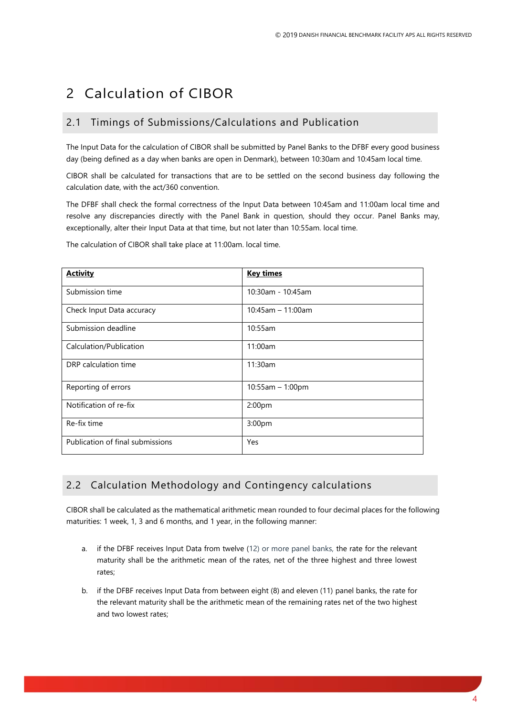# <span id="page-3-0"></span>2 Calculation of CIBOR

### <span id="page-3-1"></span>2.1 Timings of Submissions/Calculations and Publication

The Input Data for the calculation of CIBOR shall be submitted by Panel Banks to the DFBF every good business day (being defined as a day when banks are open in Denmark), between 10:30am and 10:45am local time.

CIBOR shall be calculated for transactions that are to be settled on the second business day following the calculation date, with the act/360 convention.

The DFBF shall check the formal correctness of the Input Data between 10:45am and 11:00am local time and resolve any discrepancies directly with the Panel Bank in question, should they occur. Panel Banks may, exceptionally, alter their Input Data at that time, but not later than 10:55am. local time.

| <b>Activity</b>                  | <b>Key times</b>     |
|----------------------------------|----------------------|
| Submission time                  | 10:30am - 10:45am    |
| Check Input Data accuracy        | $10:45$ am - 11:00am |
| Submission deadline              | 10:55am              |
| Calculation/Publication          | 11:00am              |
| DRP calculation time             | 11:30am              |
| Reporting of errors              | $10:55am - 1:00pm$   |
| Notification of re-fix           | 2:00 <sub>pm</sub>   |
| Re-fix time                      | 3:00pm               |
| Publication of final submissions | Yes                  |

The calculation of CIBOR shall take place at 11:00am. local time.

## <span id="page-3-2"></span>2.2 Calculation Methodology and Contingency calculations

CIBOR shall be calculated as the mathematical arithmetic mean rounded to four decimal places for the following maturities: 1 week, 1, 3 and 6 months, and 1 year, in the following manner:

- a. if the DFBF receives Input Data from twelve (12) or more panel banks, the rate for the relevant maturity shall be the arithmetic mean of the rates, net of the three highest and three lowest rates;
- b. if the DFBF receives Input Data from between eight (8) and eleven (11) panel banks, the rate for the relevant maturity shall be the arithmetic mean of the remaining rates net of the two highest and two lowest rates;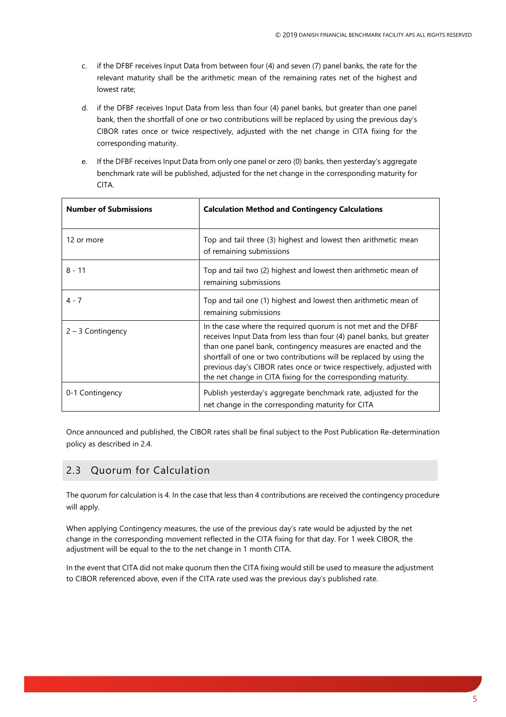- c. if the DFBF receives Input Data from between four (4) and seven (7) panel banks, the rate for the relevant maturity shall be the arithmetic mean of the remaining rates net of the highest and lowest rate;
- d. if the DFBF receives Input Data from less than four (4) panel banks, but greater than one panel bank, then the shortfall of one or two contributions will be replaced by using the previous day's CIBOR rates once or twice respectively, adjusted with the net change in CITA fixing for the corresponding maturity.
- e. If the DFBF receives Input Data from only one panel or zero (0) banks, then yesterday's aggregate benchmark rate will be published, adjusted for the net change in the corresponding maturity for CITA.

| <b>Number of Submissions</b> | <b>Calculation Method and Contingency Calculations</b>                                                                                                                                                                                                                                                                                                                                                                 |
|------------------------------|------------------------------------------------------------------------------------------------------------------------------------------------------------------------------------------------------------------------------------------------------------------------------------------------------------------------------------------------------------------------------------------------------------------------|
| 12 or more                   | Top and tail three (3) highest and lowest then arithmetic mean<br>of remaining submissions                                                                                                                                                                                                                                                                                                                             |
| $8 - 11$                     | Top and tail two (2) highest and lowest then arithmetic mean of<br>remaining submissions                                                                                                                                                                                                                                                                                                                               |
| $4 - 7$                      | Top and tail one (1) highest and lowest then arithmetic mean of<br>remaining submissions                                                                                                                                                                                                                                                                                                                               |
| $2 - 3$ Contingency          | In the case where the required quorum is not met and the DFBF<br>receives Input Data from less than four (4) panel banks, but greater<br>than one panel bank, contingency measures are enacted and the<br>shortfall of one or two contributions will be replaced by using the<br>previous day's CIBOR rates once or twice respectively, adjusted with<br>the net change in CITA fixing for the corresponding maturity. |
| 0-1 Contingency              | Publish yesterday's aggregate benchmark rate, adjusted for the<br>net change in the corresponding maturity for CITA                                                                                                                                                                                                                                                                                                    |

Once announced and published, the CIBOR rates shall be final subject to the Post Publication Re-determination policy as described in 2.4.

## <span id="page-4-0"></span>2.3 Quorum for Calculation

The quorum for calculation is 4. In the case that less than 4 contributions are received the contingency procedure will apply.

When applying Contingency measures, the use of the previous day's rate would be adjusted by the net change in the corresponding movement reflected in the CITA fixing for that day. For 1 week CIBOR, the adjustment will be equal to the to the net change in 1 month CITA.

In the event that CITA did not make quorum then the CITA fixing would still be used to measure the adjustment to CIBOR referenced above, even if the CITA rate used was the previous day's published rate.